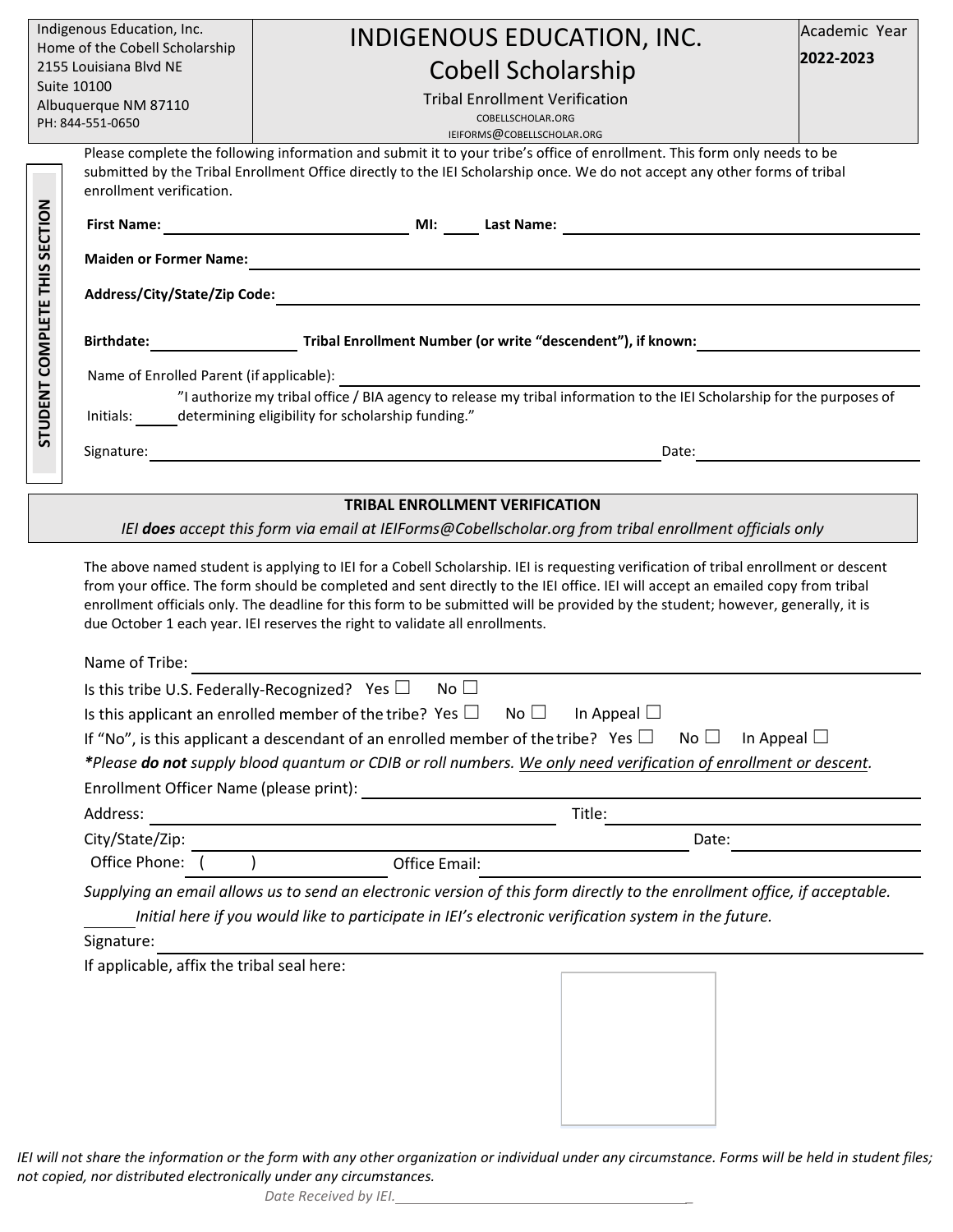| Indigenous Education, Inc.                                                                                                                                                                                                                                                                                                                                                                                                                                                                 |                                                                                                                         | INDIGENOUS EDUCATION, INC.                                                                                                                             | Academic Year |
|--------------------------------------------------------------------------------------------------------------------------------------------------------------------------------------------------------------------------------------------------------------------------------------------------------------------------------------------------------------------------------------------------------------------------------------------------------------------------------------------|-------------------------------------------------------------------------------------------------------------------------|--------------------------------------------------------------------------------------------------------------------------------------------------------|---------------|
| Home of the Cobell Scholarship<br>2155 Louisiana Blvd NE                                                                                                                                                                                                                                                                                                                                                                                                                                   |                                                                                                                         | 2022-2023                                                                                                                                              |               |
| Suite 10100                                                                                                                                                                                                                                                                                                                                                                                                                                                                                |                                                                                                                         | <b>Cobell Scholarship</b>                                                                                                                              |               |
| Albuquerque NM 87110                                                                                                                                                                                                                                                                                                                                                                                                                                                                       |                                                                                                                         | <b>Tribal Enrollment Verification</b><br>COBELLSCHOLAR.ORG                                                                                             |               |
| PH: 844-551-0650                                                                                                                                                                                                                                                                                                                                                                                                                                                                           |                                                                                                                         | IEIFORMS@COBELLSCHOLAR.ORG                                                                                                                             |               |
|                                                                                                                                                                                                                                                                                                                                                                                                                                                                                            |                                                                                                                         | Please complete the following information and submit it to your tribe's office of enrollment. This form only needs to be                               |               |
| submitted by the Tribal Enrollment Office directly to the IEI Scholarship once. We do not accept any other forms of tribal<br>enrollment verification.                                                                                                                                                                                                                                                                                                                                     |                                                                                                                         |                                                                                                                                                        |               |
|                                                                                                                                                                                                                                                                                                                                                                                                                                                                                            |                                                                                                                         |                                                                                                                                                        |               |
|                                                                                                                                                                                                                                                                                                                                                                                                                                                                                            | <b>First Name:</b>                                                                                                      | <b>MI:</b> Last Name:                                                                                                                                  |               |
| STUDENT COMPLETE THIS SECTION                                                                                                                                                                                                                                                                                                                                                                                                                                                              | <b>Maiden or Former Name:</b>                                                                                           | <u> 1989 - Johann Barn, amerikan bernama di sebagai bernama di sebagai bernama di sebagai bernama di sebagai ber</u>                                   |               |
|                                                                                                                                                                                                                                                                                                                                                                                                                                                                                            |                                                                                                                         |                                                                                                                                                        |               |
|                                                                                                                                                                                                                                                                                                                                                                                                                                                                                            | Address/City/State/Zip Code:                                                                                            |                                                                                                                                                        |               |
|                                                                                                                                                                                                                                                                                                                                                                                                                                                                                            |                                                                                                                         | Birthdate: Tribal Enrollment Number (or write "descendent"), if known:                                                                                 |               |
|                                                                                                                                                                                                                                                                                                                                                                                                                                                                                            |                                                                                                                         |                                                                                                                                                        |               |
|                                                                                                                                                                                                                                                                                                                                                                                                                                                                                            | Name of Enrolled Parent (if applicable):                                                                                | iled Parent (if applicable):<br>"I authorize my tribal office / BIA agency to release my tribal information to the IEI Scholarship for the purposes of |               |
| Initials: determining eligibility for scholarship funding."                                                                                                                                                                                                                                                                                                                                                                                                                                |                                                                                                                         |                                                                                                                                                        |               |
|                                                                                                                                                                                                                                                                                                                                                                                                                                                                                            |                                                                                                                         |                                                                                                                                                        |               |
|                                                                                                                                                                                                                                                                                                                                                                                                                                                                                            | Signature:                                                                                                              | <u> 1980 - Johann Stein, marwolaethau (b. 1980)</u><br>Date:                                                                                           |               |
|                                                                                                                                                                                                                                                                                                                                                                                                                                                                                            |                                                                                                                         |                                                                                                                                                        |               |
| <b>TRIBAL ENROLLMENT VERIFICATION</b>                                                                                                                                                                                                                                                                                                                                                                                                                                                      |                                                                                                                         |                                                                                                                                                        |               |
| IEI does accept this form via email at IEIForms@Cobellscholar.org from tribal enrollment officials only                                                                                                                                                                                                                                                                                                                                                                                    |                                                                                                                         |                                                                                                                                                        |               |
| The above named student is applying to IEI for a Cobell Scholarship. IEI is requesting verification of tribal enrollment or descent<br>from your office. The form should be completed and sent directly to the IEI office. IEI will accept an emailed copy from tribal<br>enrollment officials only. The deadline for this form to be submitted will be provided by the student; however, generally, it is<br>due October 1 each year. IEI reserves the right to validate all enrollments. |                                                                                                                         |                                                                                                                                                        |               |
|                                                                                                                                                                                                                                                                                                                                                                                                                                                                                            | Name of Tribe:<br>No $\square$                                                                                          |                                                                                                                                                        |               |
|                                                                                                                                                                                                                                                                                                                                                                                                                                                                                            | Is this tribe U.S. Federally-Recognized? Yes $\Box$                                                                     |                                                                                                                                                        |               |
|                                                                                                                                                                                                                                                                                                                                                                                                                                                                                            | Is this applicant an enrolled member of the tribe? Yes $\square$ No $\square$ In Appeal $\square$                       |                                                                                                                                                        |               |
|                                                                                                                                                                                                                                                                                                                                                                                                                                                                                            | If "No", is this applicant a descendant of an enrolled member of the tribe? Yes $\Box$<br>$No \Box$<br>In Appeal $\Box$ |                                                                                                                                                        |               |
|                                                                                                                                                                                                                                                                                                                                                                                                                                                                                            | *Please do not supply blood quantum or CDIB or roll numbers. We only need verification of enrollment or descent.        |                                                                                                                                                        |               |
|                                                                                                                                                                                                                                                                                                                                                                                                                                                                                            | Enrollment Officer Name (please print):                                                                                 |                                                                                                                                                        |               |
|                                                                                                                                                                                                                                                                                                                                                                                                                                                                                            | Address:                                                                                                                | Title:                                                                                                                                                 |               |
|                                                                                                                                                                                                                                                                                                                                                                                                                                                                                            | City/State/Zip:                                                                                                         | Date:                                                                                                                                                  |               |
|                                                                                                                                                                                                                                                                                                                                                                                                                                                                                            | Office Phone: (<br>Office Email:                                                                                        |                                                                                                                                                        |               |
| Supplying an email allows us to send an electronic version of this form directly to the enrollment office, if acceptable.<br>Initial here if you would like to participate in IEI's electronic verification system in the future.<br>Signature:                                                                                                                                                                                                                                            |                                                                                                                         |                                                                                                                                                        |               |
|                                                                                                                                                                                                                                                                                                                                                                                                                                                                                            |                                                                                                                         |                                                                                                                                                        |               |
|                                                                                                                                                                                                                                                                                                                                                                                                                                                                                            | If applicable, affix the tribal seal here:                                                                              |                                                                                                                                                        |               |
|                                                                                                                                                                                                                                                                                                                                                                                                                                                                                            |                                                                                                                         |                                                                                                                                                        |               |
|                                                                                                                                                                                                                                                                                                                                                                                                                                                                                            |                                                                                                                         |                                                                                                                                                        |               |
|                                                                                                                                                                                                                                                                                                                                                                                                                                                                                            |                                                                                                                         |                                                                                                                                                        |               |
|                                                                                                                                                                                                                                                                                                                                                                                                                                                                                            |                                                                                                                         |                                                                                                                                                        |               |
|                                                                                                                                                                                                                                                                                                                                                                                                                                                                                            |                                                                                                                         |                                                                                                                                                        |               |
|                                                                                                                                                                                                                                                                                                                                                                                                                                                                                            |                                                                                                                         |                                                                                                                                                        |               |
|                                                                                                                                                                                                                                                                                                                                                                                                                                                                                            |                                                                                                                         |                                                                                                                                                        |               |

*IEI will not share the information or the form with any other organization or individual under any circumstance. Forms will be held in student files; not copied, nor distributed electronically under any circumstances.*